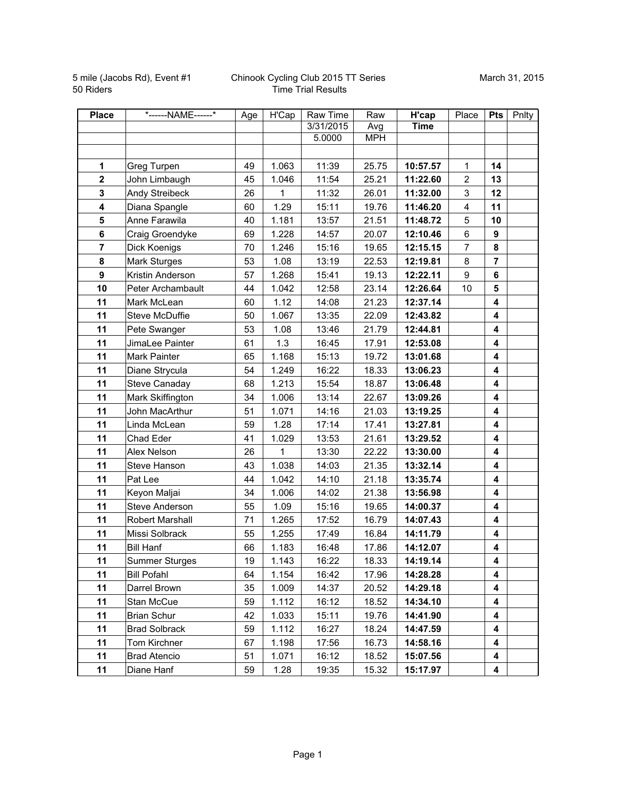5 mile (Jacobs Rd), Event #1 50 Riders

## Chinook Cycling Club 2015 TT Series Time Trial Results

| <b>Place</b>            | *------NAME------*   | Age | H'Cap | Raw Time  | Raw        | H'cap       | Place                   | <b>Pts</b>              | Pnlty |
|-------------------------|----------------------|-----|-------|-----------|------------|-------------|-------------------------|-------------------------|-------|
|                         |                      |     |       | 3/31/2015 | Avg        | <b>Time</b> |                         |                         |       |
|                         |                      |     |       | 5.0000    | <b>MPH</b> |             |                         |                         |       |
|                         |                      |     |       |           |            |             |                         |                         |       |
| 1                       | Greg Turpen          | 49  | 1.063 | 11:39     | 25.75      | 10:57.57    | $\mathbf{1}$            | 14                      |       |
| $\overline{2}$          | John Limbaugh        | 45  | 1.046 | 11:54     | 25.21      | 11:22.60    | $\overline{2}$          | 13                      |       |
| 3                       | Andy Streibeck       | 26  | 1     | 11:32     | 26.01      | 11:32.00    | 3                       | 12                      |       |
| $\overline{\mathbf{4}}$ | Diana Spangle        | 60  | 1.29  | 15:11     | 19.76      | 11:46.20    | $\overline{\mathbf{4}}$ | 11                      |       |
| 5                       | Anne Farawila        | 40  | 1.181 | 13:57     | 21.51      | 11:48.72    | 5                       | 10                      |       |
| $6\phantom{a}$          | Craig Groendyke      | 69  | 1.228 | 14:57     | 20.07      | 12:10.46    | 6                       | 9                       |       |
| $\overline{7}$          | Dick Koenigs         | 70  | 1.246 | 15:16     | 19.65      | 12:15.15    | $\overline{7}$          | 8                       |       |
| 8                       | Mark Sturges         | 53  | 1.08  | 13:19     | 22.53      | 12:19.81    | 8                       | $\overline{\mathbf{r}}$ |       |
| $\boldsymbol{9}$        | Kristin Anderson     | 57  | 1.268 | 15:41     | 19.13      | 12:22.11    | 9                       | 6                       |       |
| 10                      | Peter Archambault    | 44  | 1.042 | 12:58     | 23.14      | 12:26.64    | 10                      | 5                       |       |
| 11                      | Mark McLean          | 60  | 1.12  | 14:08     | 21.23      | 12:37.14    |                         | 4                       |       |
| 11                      | Steve McDuffie       | 50  | 1.067 | 13:35     | 22.09      | 12:43.82    |                         | 4                       |       |
| 11                      | Pete Swanger         | 53  | 1.08  | 13:46     | 21.79      | 12:44.81    |                         | 4                       |       |
| 11                      | JimaLee Painter      | 61  | 1.3   | 16:45     | 17.91      | 12:53.08    |                         | 4                       |       |
| 11                      | Mark Painter         | 65  | 1.168 | 15:13     | 19.72      | 13:01.68    |                         | 4                       |       |
| 11                      | Diane Strycula       | 54  | 1.249 | 16:22     | 18.33      | 13:06.23    |                         | 4                       |       |
| 11                      | Steve Canaday        | 68  | 1.213 | 15:54     | 18.87      | 13:06.48    |                         | 4                       |       |
| 11                      | Mark Skiffington     | 34  | 1.006 | 13:14     | 22.67      | 13:09.26    |                         | 4                       |       |
| 11                      | John MacArthur       | 51  | 1.071 | 14:16     | 21.03      | 13:19.25    |                         | 4                       |       |
| 11                      | Linda McLean         | 59  | 1.28  | 17:14     | 17.41      | 13:27.81    |                         | 4                       |       |
| 11                      | Chad Eder            | 41  | 1.029 | 13:53     | 21.61      | 13:29.52    |                         | 4                       |       |
| 11                      | Alex Nelson          | 26  | 1     | 13:30     | 22.22      | 13:30.00    |                         | 4                       |       |
| 11                      | Steve Hanson         | 43  | 1.038 | 14:03     | 21.35      | 13:32.14    |                         | 4                       |       |
| 11                      | Pat Lee              | 44  | 1.042 | 14:10     | 21.18      | 13:35.74    |                         | 4                       |       |
| 11                      | Keyon Maljai         | 34  | 1.006 | 14:02     | 21.38      | 13:56.98    |                         | 4                       |       |
| 11                      | Steve Anderson       | 55  | 1.09  | 15:16     | 19.65      | 14:00.37    |                         | 4                       |       |
| 11                      | Robert Marshall      | 71  | 1.265 | 17:52     | 16.79      | 14:07.43    |                         | 4                       |       |
| 11                      | Missi Solbrack       | 55  | 1.255 | 17:49     | 16.84      | 14:11.79    |                         | 4                       |       |
| 11                      | <b>Bill Hanf</b>     | 66  | 1.183 | 16:48     | 17.86      | 14:12.07    |                         | 4                       |       |
| 11                      | Summer Sturges       | 19  | 1.143 | 16:22     | 18.33      | 14:19.14    |                         | 4                       |       |
| 11                      | <b>Bill Pofahl</b>   | 64  | 1.154 | 16:42     | 17.96      | 14:28.28    |                         | 4                       |       |
| 11                      | Darrel Brown         | 35  | 1.009 | 14:37     | 20.52      | 14:29.18    |                         | 4                       |       |
| 11                      | Stan McCue           | 59  | 1.112 | 16:12     | 18.52      | 14:34.10    |                         | 4                       |       |
| 11                      | <b>Brian Schur</b>   | 42  | 1.033 | 15:11     | 19.76      | 14:41.90    |                         | 4                       |       |
| 11                      | <b>Brad Solbrack</b> | 59  | 1.112 | 16:27     | 18.24      | 14:47.59    |                         | 4                       |       |
| 11                      | Tom Kirchner         | 67  | 1.198 | 17:56     | 16.73      | 14:58.16    |                         | 4                       |       |
| 11                      | <b>Brad Atencio</b>  | 51  | 1.071 | 16:12     | 18.52      | 15:07.56    |                         | 4                       |       |
| 11                      | Diane Hanf           | 59  | 1.28  | 19:35     | 15.32      | 15:17.97    |                         | 4                       |       |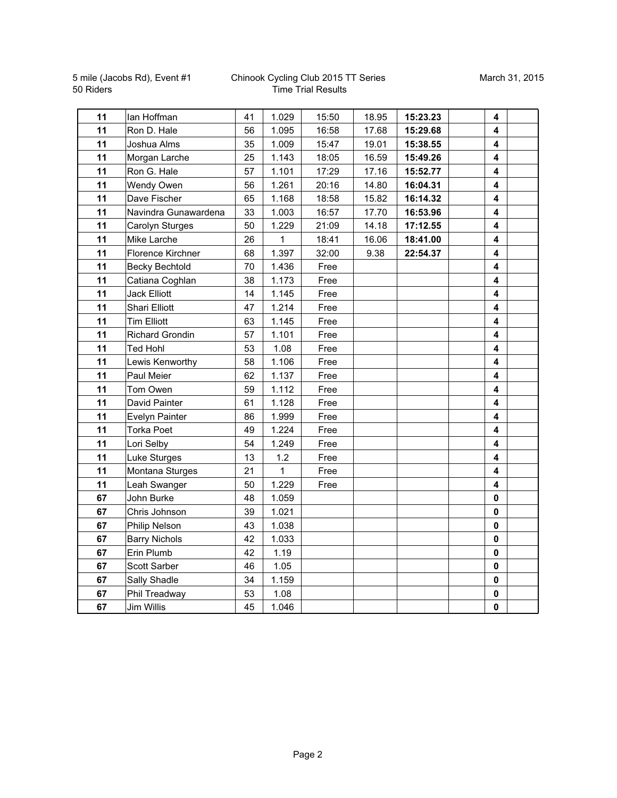5 mile (Jacobs Rd), Event #1 50 Riders

## Chinook Cycling Club 2015 TT Series Time Trial Results

| 11 | lan Hoffman            | 41 | 1.029 | 15:50 | 18.95 | 15:23.23 | 4        |  |
|----|------------------------|----|-------|-------|-------|----------|----------|--|
| 11 | Ron D. Hale            | 56 | 1.095 | 16:58 | 17.68 | 15:29.68 | 4        |  |
| 11 | Joshua Alms            | 35 | 1.009 | 15:47 | 19.01 | 15:38.55 | 4        |  |
| 11 | Morgan Larche          | 25 | 1.143 | 18:05 | 16.59 | 15:49.26 | 4        |  |
| 11 | Ron G. Hale            | 57 | 1.101 | 17:29 | 17.16 | 15:52.77 | 4        |  |
| 11 | Wendy Owen             | 56 | 1.261 | 20:16 | 14.80 | 16:04.31 | 4        |  |
| 11 | Dave Fischer           | 65 | 1.168 | 18:58 | 15.82 | 16:14.32 | 4        |  |
| 11 | Navindra Gunawardena   | 33 | 1.003 | 16:57 | 17.70 | 16:53.96 | 4        |  |
| 11 | Carolyn Sturges        | 50 | 1.229 | 21:09 | 14.18 | 17:12.55 | 4        |  |
| 11 | Mike Larche            | 26 | 1     | 18:41 | 16.06 | 18:41.00 | 4        |  |
| 11 | Florence Kirchner      | 68 | 1.397 | 32:00 | 9.38  | 22:54.37 | 4        |  |
| 11 | <b>Becky Bechtold</b>  | 70 | 1.436 | Free  |       |          | 4        |  |
| 11 | Catiana Coghlan        | 38 | 1.173 | Free  |       |          | 4        |  |
| 11 | <b>Jack Elliott</b>    | 14 | 1.145 | Free  |       |          | 4        |  |
| 11 | Shari Elliott          | 47 | 1.214 | Free  |       |          | 4        |  |
| 11 | <b>Tim Elliott</b>     | 63 | 1.145 | Free  |       |          | 4        |  |
| 11 | <b>Richard Grondin</b> | 57 | 1.101 | Free  |       |          | 4        |  |
| 11 | <b>Ted Hohl</b>        | 53 | 1.08  | Free  |       |          | 4        |  |
| 11 | Lewis Kenworthy        | 58 | 1.106 | Free  |       |          | 4        |  |
| 11 | Paul Meier             | 62 | 1.137 | Free  |       |          | 4        |  |
| 11 | Tom Owen               | 59 | 1.112 | Free  |       |          | 4        |  |
| 11 | David Painter          | 61 | 1.128 | Free  |       |          | 4        |  |
| 11 | Evelyn Painter         | 86 | 1.999 | Free  |       |          | 4        |  |
| 11 | Torka Poet             | 49 | 1.224 | Free  |       |          | 4        |  |
| 11 | Lori Selby             | 54 | 1.249 | Free  |       |          | 4        |  |
| 11 | Luke Sturges           | 13 | 1.2   | Free  |       |          | 4        |  |
| 11 | Montana Sturges        | 21 | 1     | Free  |       |          | 4        |  |
| 11 | Leah Swanger           | 50 | 1.229 | Free  |       |          | 4        |  |
| 67 | John Burke             | 48 | 1.059 |       |       |          | 0        |  |
| 67 | Chris Johnson          | 39 | 1.021 |       |       |          | 0        |  |
| 67 | Philip Nelson          | 43 | 1.038 |       |       |          | 0        |  |
| 67 | <b>Barry Nichols</b>   | 42 | 1.033 |       |       |          | $\bf{0}$ |  |
| 67 | Erin Plumb             | 42 | 1.19  |       |       |          | $\bf{0}$ |  |
| 67 | Scott Sarber           | 46 | 1.05  |       |       |          | $\bf{0}$ |  |
| 67 | Sally Shadle           | 34 | 1.159 |       |       |          | 0        |  |
| 67 | Phil Treadway          | 53 | 1.08  |       |       |          | 0        |  |
| 67 | Jim Willis             | 45 | 1.046 |       |       |          | 0        |  |